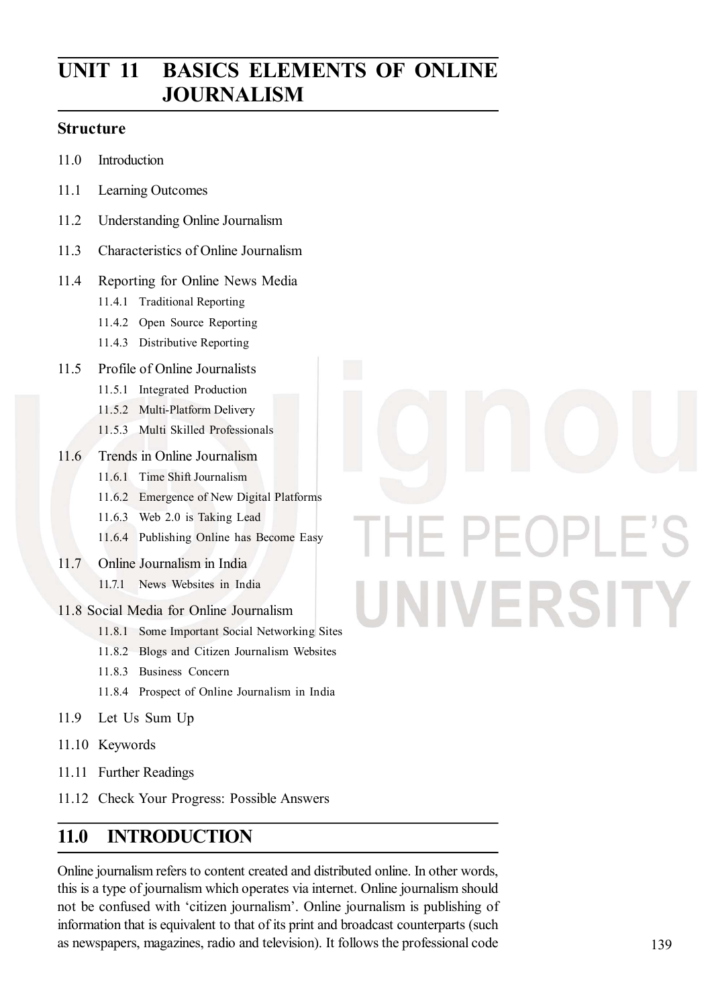## UNIT 11 BASICS ELEMENTS OF ONLINE **JOURNALISM**

#### Structure

- 11.0 Introduction
- 11.1 Learning Outcomes
- 11.2 Understanding Online Journalism
- 11.3 Characteristics of Online Journalism
- 11.4 Reporting for Online News Media
	- 11.4.1 Traditional Reporting
	- 11.4.2 Open Source Reporting
	- 11.4.3 Distributive Reporting
- 11.5 Profile of Online Journalists
	- 11.5.1 Integrated Production
	- 11.5.2 Multi-Platform Delivery
	- 11.5.3 Multi Skilled Professionals
- 11.6 Trends in Online Journalism
	- 11.6.1 Time Shift Journalism
	- 11.6.2 Emergence of New Digital Platforms
	- 11.6.3 Web 2.0 is Taking Lead
	- 11.6.4 Publishing Online has Become Easy
- 11.7 Online Journalism in India
	- 11.7.1 News Websites in India
- 11.8 Social Media for Online Journalism
	- 11.8.1 Some Important Social Networking Sites
	- 11.8.2 Blogs and Citizen Journalism Websites
	- 11.8.3 Business Concern
	- 11.8.4 Prospect of Online Journalism in India
- 11.9 Let Us Sum Up
- 11.10 Keywords
- 11.11 Further Readings
- 11.12 Check Your Progress: Possible Answers

#### 11.0 INTRODUCTION

Online journalism refers to content created and distributed online. In other words, this is a type of journalism which operates via internet. Online journalism should not be confused with 'citizen journalism'. Online journalism is publishing of information that is equivalent to that of its print and broadcast counterparts (such as newspapers, magazines, radio and television). It follows the professional code

# PEOPLE'S Н UNIVERSITY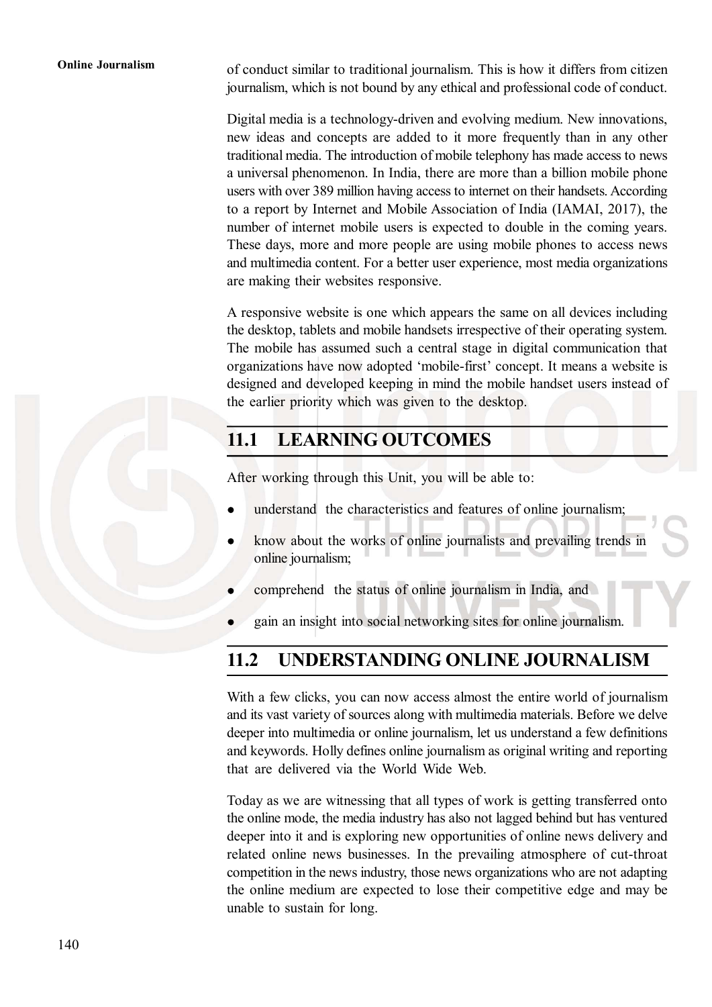Online Journalism of conduct similar to traditional journalism. This is how it differs from citizen journalism, which is not bound by any ethical and professional code of conduct.

> Digital media is a technology-driven and evolving medium. New innovations, new ideas and concepts are added to it more frequently than in any other traditional media. The introduction of mobile telephony has made access to news a universal phenomenon. In India, there are more than a billion mobile phone users with over 389 million having access to internet on their handsets. According to a report by Internet and Mobile Association of India (IAMAI, 2017), the number of internet mobile users is expected to double in the coming years. These days, more and more people are using mobile phones to access news and multimedia content. For a better user experience, most media organizations are making their websites responsive.

> A responsive website is one which appears the same on all devices including the desktop, tablets and mobile handsets irrespective of their operating system. The mobile has assumed such a central stage in digital communication that organizations have now adopted 'mobile-first' concept. It means a website is designed and developed keeping in mind the mobile handset users instead of the earlier priority which was given to the desktop.

#### 11.1 LEARNING OUTCOMES

After working through this Unit, you will be able to:

- understand the characteristics and features of online journalism;
- know about the works of online journalists and prevailing trends in online journalism;
- comprehend the status of online journalism in India, and
- gain an insight into social networking sites for online journalism.

#### 11.2 UNDERSTANDING ONLINE JOURNALISM

With a few clicks, you can now access almost the entire world of journalism and its vast variety of sources along with multimedia materials. Before we delve deeper into multimedia or online journalism, let us understand a few definitions and keywords. Holly defines online journalism as original writing and reporting that are delivered via the World Wide Web.

Today as we are witnessing that all types of work is getting transferred onto the online mode, the media industry has also not lagged behind but has ventured deeper into it and is exploring new opportunities of online news delivery and related online news businesses. In the prevailing atmosphere of cut-throat competition in the news industry, those news organizations who are not adapting the online medium are expected to lose their competitive edge and may be unable to sustain for long.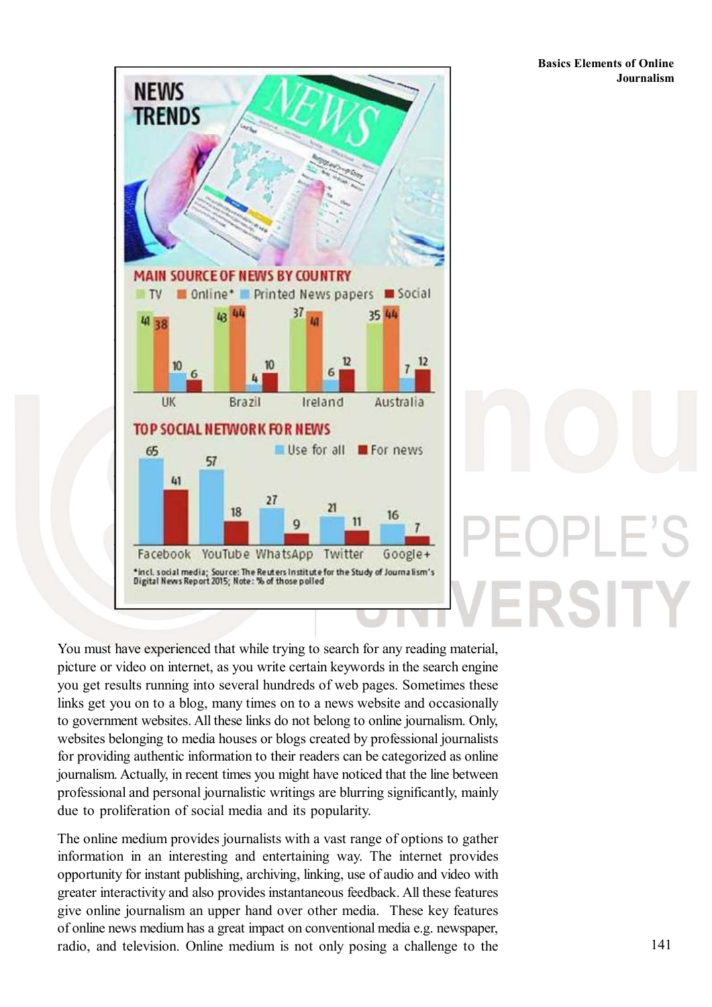RSITY



You must have experienced that while trying to search for any reading material, picture or video on internet, as you write certain keywords in the search engine you get results running into several hundreds of web pages. Sometimes these links get you on to a blog, many times on to a news website and occasionally to government websites. All these links do not belong to online journalism. Only, websites belonging to media houses or blogs created by professional journalists for providing authentic information to their readers can be categorized as online journalism. Actually, in recent times you might have noticed that the line between professional and personal journalistic writings are blurring significantly, mainly due to proliferation of social media and its popularity.

The online medium provides journalists with a vast range of options to gather information in an interesting and entertaining way. The internet provides opportunity for instant publishing, archiving, linking, use of audio and video with greater interactivity and also provides instantaneous feedback. All these features give online journalism an upper hand over other media. These key features of online news medium has a great impact on conventional media e.g. newspaper, radio, and television. Online medium is not only posing a challenge to the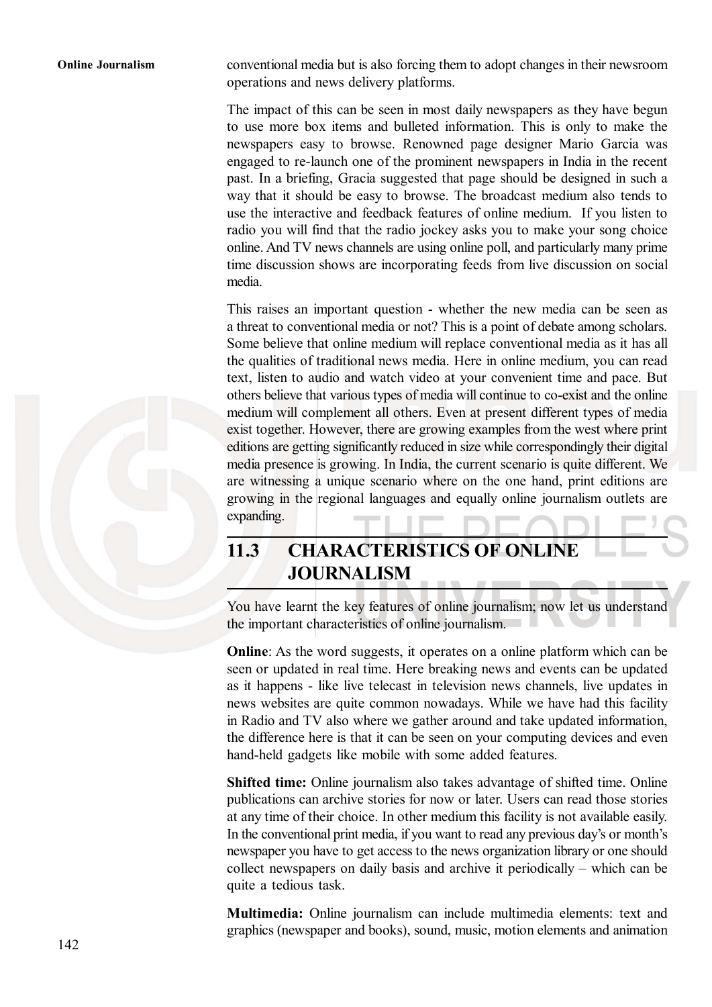Online Journalism conventional media but is also forcing them to adopt changes in their newsroom operations and news delivery platforms.

> The impact of this can be seen in most daily newspapers as they have begun to use more box items and bulleted information. This is only to make the newspapers easy to browse. Renowned page designer Mario Garcia was engaged to re-launch one of the prominent newspapers in India in the recent past. In a briefing, Gracia suggested that page should be designed in such a way that it should be easy to browse. The broadcast medium also tends to use the interactive and feedback features of online medium. If you listen to radio you will find that the radio jockey asks you to make your song choice online. And TV news channels are using online poll, and particularly many prime time discussion shows are incorporating feeds from live discussion on social media.

> This raises an important question - whether the new media can be seen as a threat to conventional media or not? This is a point of debate among scholars. Some believe that online medium will replace conventional media as it has all the qualities of traditional news media. Here in online medium, you can read text, listen to audio and watch video at your convenient time and pace. But others believe that various types of media will continue to co-exist and the online medium will complement all others. Even at present different types of media exist together. However, there are growing examples from the west where print editions are getting significantly reduced in size while correspondingly their digital media presence is growing. In India, the current scenario is quite different. We are witnessing a unique scenario where on the one hand, print editions are growing in the regional languages and equally online journalism outlets are expanding.

### 11.3 CHARACTERISTICS OF ONLINE JOURNALISM

You have learnt the key features of online journalism; now let us understand the important characteristics of online journalism.

Online: As the word suggests, it operates on a online platform which can be seen or updated in real time. Here breaking news and events can be updated as it happens - like live telecast in television news channels, live updates in news websites are quite common nowadays. While we have had this facility in Radio and TV also where we gather around and take updated information, the difference here is that it can be seen on your computing devices and even hand-held gadgets like mobile with some added features.

Shifted time: Online journalism also takes advantage of shifted time. Online publications can archive stories for now or later. Users can read those stories at any time of their choice. In other medium this facility is not available easily. In the conventional print media, if you want to read any previous day's or month's newspaper you have to get access to the news organization library or one should collect newspapers on daily basis and archive it periodically – which can be quite a tedious task.

Multimedia: Online journalism can include multimedia elements: text and graphics (newspaper and books), sound, music, motion elements and animation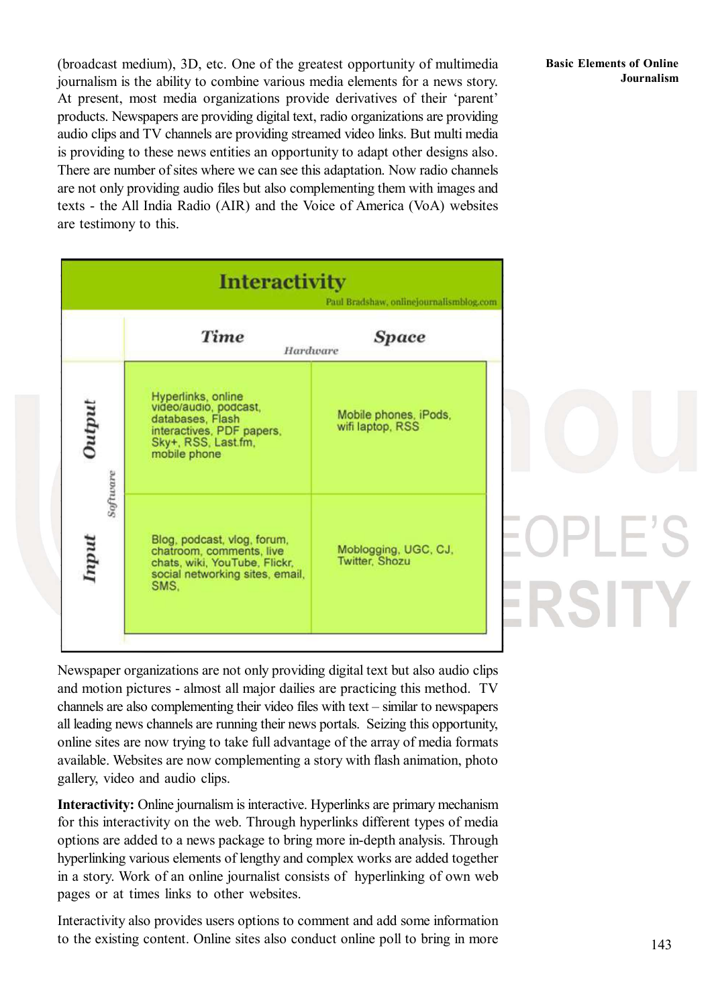(broadcast medium), 3D, etc. One of the greatest opportunity of multimedia journalism is the ability to combine various media elements for a news story. At present, most media organizations provide derivatives of their 'parent' products. Newspapers are providing digital text, radio organizations are providing audio clips and TV channels are providing streamed video links. But multi media is providing to these news entities an opportunity to adapt other designs also. There are number of sites where we can see this adaptation. Now radio channels are not only providing audio files but also complementing them with images and texts - the All India Radio (AIR) and the Voice of America (VoA) websites are testimony to this.

|                   | <b>Interactivity</b>                                                                                                                | Paul Bradshaw, onlinejournalismblog.com   |
|-------------------|-------------------------------------------------------------------------------------------------------------------------------------|-------------------------------------------|
|                   | <b>Time</b><br>Hardware                                                                                                             | <b>Space</b>                              |
| Output            | Hyperlinks, online<br>video/audio, podcast,<br>databases, Flash<br>interactives, PDF papers,<br>Sky+, RSS, Last.fm,<br>mobile phone | Mobile phones, iPods,<br>wifi laptop, RSS |
| Software<br>Input | Blog, podcast, vlog, forum,<br>chatroom, comments, live<br>chats, wiki, YouTube, Flickr,<br>social networking sites, email,<br>SMS. | Moblogging, UGC, CJ,<br>Twitter, Shozu    |

Newspaper organizations are not only providing digital text but also audio clips and motion pictures - almost all major dailies are practicing this method. TV channels are also complementing their video files with text – similar to newspapers all leading news channels are running their news portals. Seizing this opportunity, online sites are now trying to take full advantage of the array of media formats available. Websites are now complementing a story with flash animation, photo gallery, video and audio clips.

Interactivity: Online journalism is interactive. Hyperlinks are primary mechanism for this interactivity on the web. Through hyperlinks different types of media options are added to a news package to bring more in-depth analysis. Through hyperlinking various elements of lengthy and complex works are added together in a story. Work of an online journalist consists of hyperlinking of own web pages or at times links to other websites.

Interactivity also provides users options to comment and add some information to the existing content. Online sites also conduct online poll to bring in more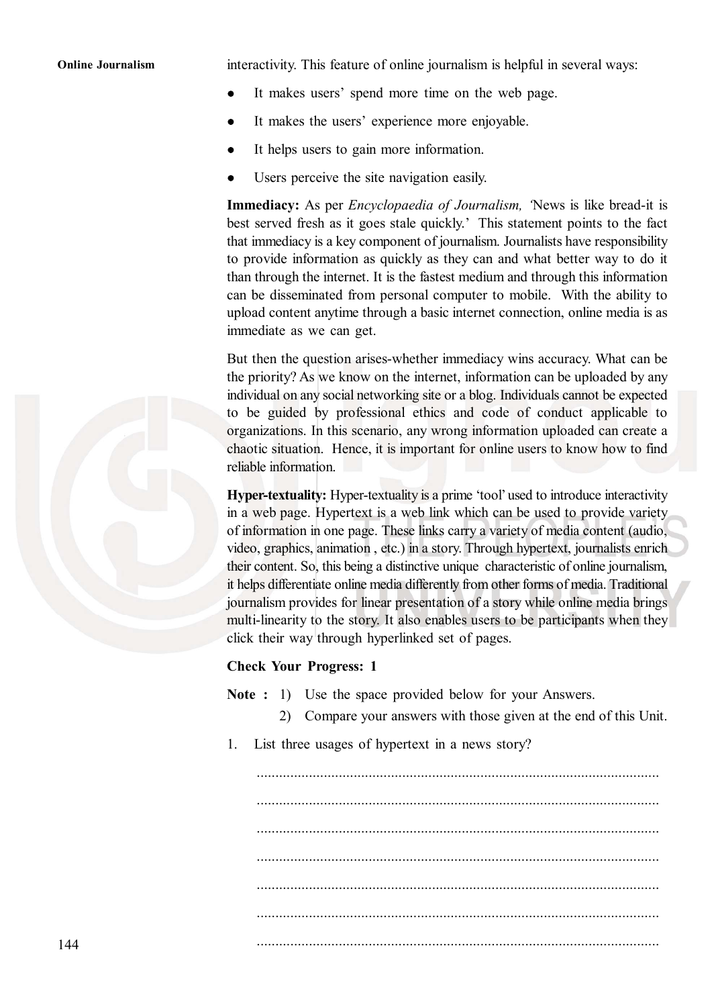Online Journalism interactivity. This feature of online journalism is helpful in several ways:

- It makes users' spend more time on the web page.  $\bullet$
- It makes the users' experience more enjoyable.
- It helps users to gain more information.
- Users perceive the site navigation easily.

**Immediacy:** As per *Encyclopaedia of Journalism*, 'News is like bread-it is best served fresh as it goes stale quickly.' This statement points to the fact that immediacy is a key component of journalism. Journalists have responsibility to provide information as quickly as they can and what better way to do it than through the internet. It is the fastest medium and through this information can be disseminated from personal computer to mobile. With the ability to upload content anytime through a basic internet connection, online media is as immediate as we can get.

But then the question arises-whether immediacy wins accuracy. What can be the priority? As we know on the internet, information can be uploaded by any individual on any social networking site or a blog. Individuals cannot be expected to be guided by professional ethics and code of conduct applicable to organizations. In this scenario, any wrong information uploaded can create a chaotic situation. Hence, it is important for online users to know how to find reliable information.

Hyper-textuality: Hyper-textuality is a prime 'tool' used to introduce interactivity in a web page. Hypertext is a web link which can be used to provide variety of information in one page. These links carry a variety of media content (audio, video, graphics, animation , etc.) in a story. Through hypertext, journalists enrich their content. So, this being a distinctive unique characteristic of online journalism, it helps differentiate online media differently from other forms of media. Traditional journalism provides for linear presentation of a story while online media brings multi-linearity to the story. It also enables users to be participants when they click their way through hyperlinked set of pages.

#### Check Your Progress: 1

Note : 1) Use the space provided below for your Answers.

- 2) Compare your answers with those given at the end of this Unit.
- 1. List three usages of hypertext in a news story?

............................................................................................................ ............................................................................................................ ............................................................................................................ ............................................................................................................

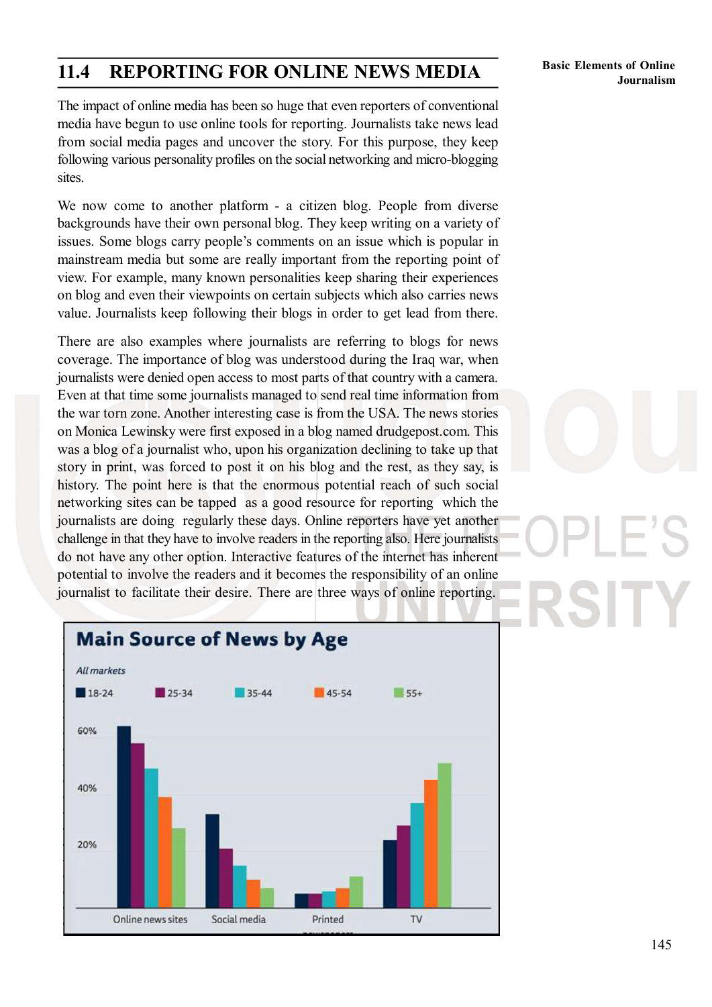#### 11.4 REPORTING FOR ONLINE NEWS MEDIA

Basic Elements of Online Journalism

The impact of online media has been so huge that even reporters of conventional media have begun to use online tools for reporting. Journalists take news lead from social media pages and uncover the story. For this purpose, they keep following various personality profiles on the social networking and micro-blogging sites.

We now come to another platform - a citizen blog. People from diverse backgrounds have their own personal blog. They keep writing on a variety of issues. Some blogs carry people's comments on an issue which is popular in mainstream media but some are really important from the reporting point of view. For example, many known personalities keep sharing their experiences on blog and even their viewpoints on certain subjects which also carries news value. Journalists keep following their blogs in order to get lead from there.

There are also examples where journalists are referring to blogs for news coverage. The importance of blog was understood during the Iraq war, when journalists were denied open access to most parts of that country with a camera. Even at that time some journalists managed to send real time information from the war torn zone. Another interesting case is from the USA. The news stories on Monica Lewinsky were first exposed in a blog named drudgepost.com. This was a blog of a journalist who, upon his organization declining to take up that story in print, was forced to post it on his blog and the rest, as they say, is history. The point here is that the enormous potential reach of such social networking sites can be tapped as a good resource for reporting which the journalists are doing regularly these days. Online reporters have yet another challenge in that they have to involve readers in the reporting also. Here journalists do not have any other option. Interactive features of the internet has inherent potential to involve the readers and it becomes the responsibility of an online journalist to facilitate their desire. There are three ways of online reporting.



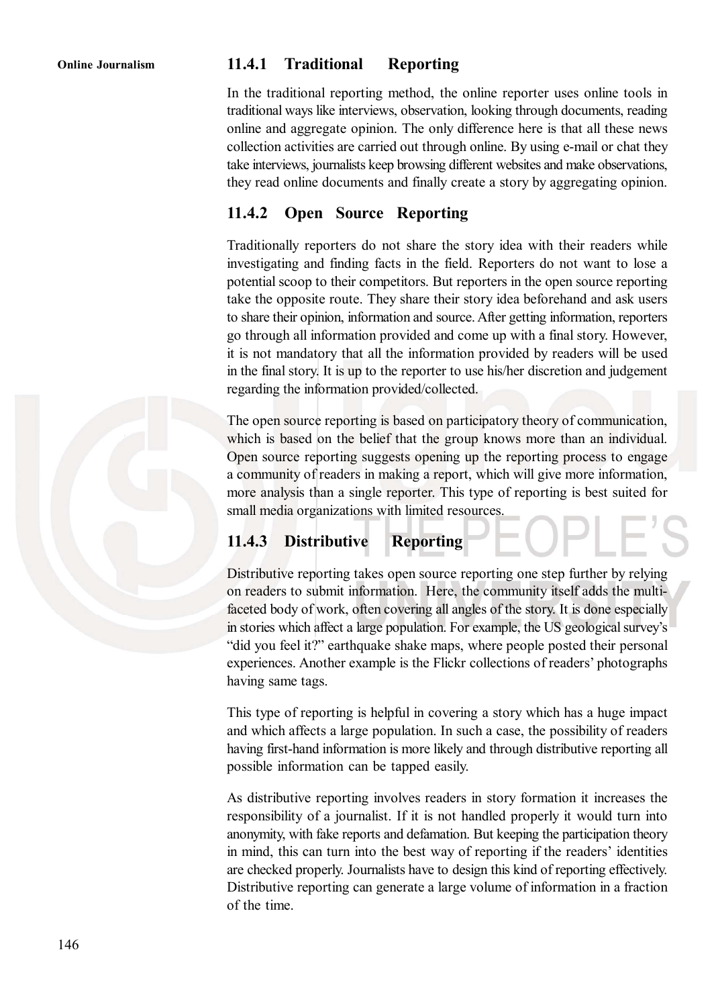#### Online Journalism 11.4.1 Traditional Reporting

In the traditional reporting method, the online reporter uses online tools in traditional ways like interviews, observation, looking through documents, reading online and aggregate opinion. The only difference here is that all these news collection activities are carried out through online. By using e-mail or chat they take interviews, journalists keep browsing different websites and make observations, they read online documents and finally create a story by aggregating opinion.

#### 11.4.2 Open Source Reporting

Traditionally reporters do not share the story idea with their readers while investigating and finding facts in the field. Reporters do not want to lose a potential scoop to their competitors. But reporters in the open source reporting take the opposite route. They share their story idea beforehand and ask users to share their opinion, information and source. After getting information, reporters go through all information provided and come up with a final story. However, it is not mandatory that all the information provided by readers will be used in the final story. It is up to the reporter to use his/her discretion and judgement regarding the information provided/collected.

The open source reporting is based on participatory theory of communication, which is based on the belief that the group knows more than an individual. Open source reporting suggests opening up the reporting process to engage a community of readers in making a report, which will give more information, more analysis than a single reporter. This type of reporting is best suited for small media organizations with limited resources.

#### 11.4.3 Distributive Reporting

Distributive reporting takes open source reporting one step further by relying on readers to submit information. Here, the community itself adds the multifaceted body of work, often covering all angles of the story. It is done especially in stories which affect a large population. For example, the US geological survey's "did you feel it?" earthquake shake maps, where people posted their personal experiences. Another example is the Flickr collections of readers' photographs having same tags.

This type of reporting is helpful in covering a story which has a huge impact and which affects a large population. In such a case, the possibility of readers having first-hand information is more likely and through distributive reporting all possible information can be tapped easily.

As distributive reporting involves readers in story formation it increases the responsibility of a journalist. If it is not handled properly it would turn into anonymity, with fake reports and defamation. But keeping the participation theory in mind, this can turn into the best way of reporting if the readers' identities are checked properly. Journalists have to design this kind of reporting effectively. Distributive reporting can generate a large volume of information in a fraction of the time.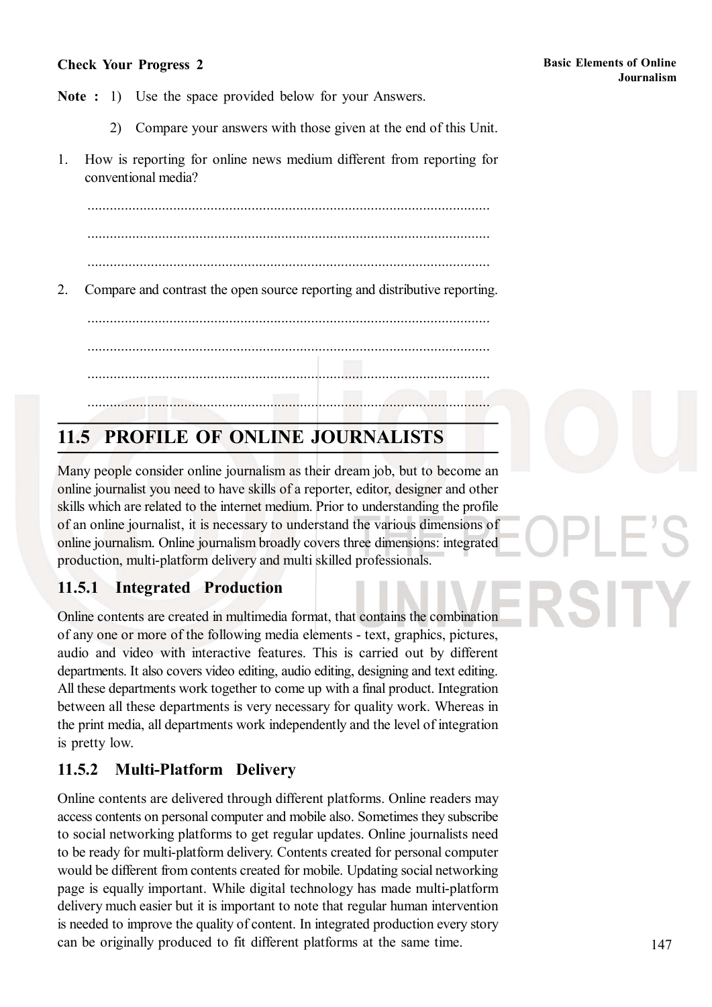#### Check Your Progress 2

Note : 1) Use the space provided below for your Answers.

- 2) Compare your answers with those given at the end of this Unit.
- 1. How is reporting for online news medium different from reporting for conventional media?

............................................................................................................

2. Compare and contrast the open source reporting and distributive reporting.

............................................................................................................

............................................................................................................

............................................................................................................

## 11.5 PROFILE OF ONLINE JOURNALISTS

............................................................................................................

Many people consider online journalism as their dream job, but to become an online journalist you need to have skills of a reporter, editor, designer and other skills which are related to the internet medium. Prior to understanding the profile of an online journalist, it is necessary to understand the various dimensions of online journalism. Online journalism broadly covers three dimensions: integrated production, multi-platform delivery and multi skilled professionals.

#### 11.5.1 Integrated Production

Online contents are created in multimedia format, that contains the combination of any one or more of the following media elements - text, graphics, pictures, audio and video with interactive features. This is carried out by different departments. It also covers video editing, audio editing, designing and text editing. All these departments work together to come up with a final product. Integration between all these departments is very necessary for quality work. Whereas in the print media, all departments work independently and the level of integration is pretty low.

#### 11.5.2 Multi-Platform Delivery

Online contents are delivered through different platforms. Online readers may access contents on personal computer and mobile also. Sometimes they subscribe to social networking platforms to get regular updates. Online journalists need to be ready for multi-platform delivery. Contents created for personal computer would be different from contents created for mobile. Updating social networking page is equally important. While digital technology has made multi-platform delivery much easier but it is important to note that regular human intervention is needed to improve the quality of content. In integrated production every story can be originally produced to fit different platforms at the same time.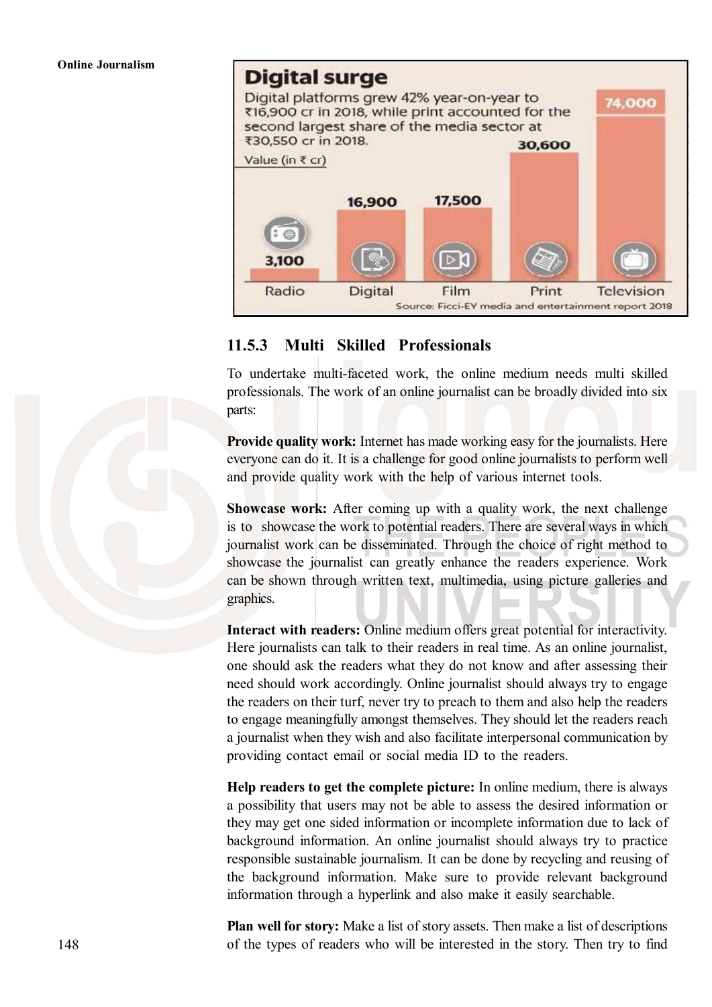## Digital surge



#### 11.5.3 Multi Skilled Professionals

To undertake multi-faceted work, the online medium needs multi skilled professionals. The work of an online journalist can be broadly divided into six parts:

Provide quality work: Internet has made working easy for the journalists. Here everyone can do it. It is a challenge for good online journalists to perform well and provide quality work with the help of various internet tools.

Showcase work: After coming up with a quality work, the next challenge is to showcase the work to potential readers. There are several ways in which journalist work can be disseminated. Through the choice of right method to showcase the journalist can greatly enhance the readers experience. Work can be shown through written text, multimedia, using picture galleries and graphics.

Interact with readers: Online medium offers great potential for interactivity. Here journalists can talk to their readers in real time. As an online journalist, one should ask the readers what they do not know and after assessing their need should work accordingly. Online journalist should always try to engage the readers on their turf, never try to preach to them and also help the readers to engage meaningfully amongst themselves. They should let the readers reach a journalist when they wish and also facilitate interpersonal communication by providing contact email or social media ID to the readers.

Help readers to get the complete picture: In online medium, there is always a possibility that users may not be able to assess the desired information or they may get one sided information or incomplete information due to lack of background information. An online journalist should always try to practice responsible sustainable journalism. It can be done by recycling and reusing of the background information. Make sure to provide relevant background information through a hyperlink and also make it easily searchable.

Plan well for story: Make a list of story assets. Then make a list of descriptions of the types of readers who will be interested in the story. Then try to find

148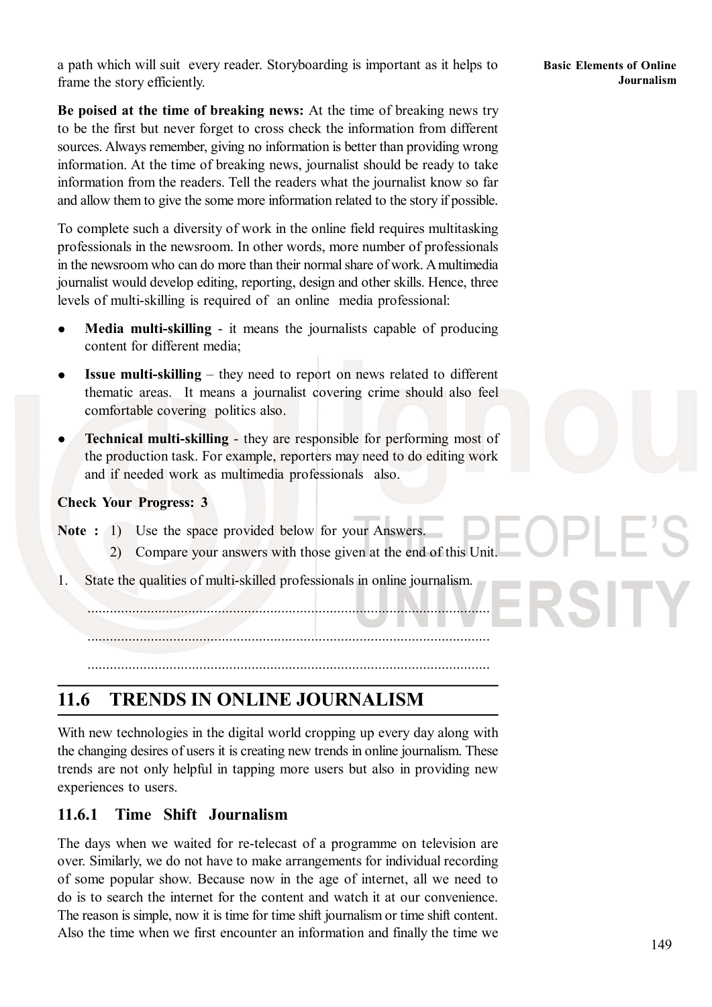a path which will suit every reader. Storyboarding is important as it helps to frame the story efficiently.

Be poised at the time of breaking news: At the time of breaking news try to be the first but never forget to cross check the information from different sources. Always remember, giving no information is better than providing wrong information. At the time of breaking news, journalist should be ready to take information from the readers. Tell the readers what the journalist know so far and allow them to give the some more information related to the story if possible.

To complete such a diversity of work in the online field requires multitasking professionals in the newsroom. In other words, more number of professionals in the newsroom who can do more than their normal share of work. Amultimedia journalist would develop editing, reporting, design and other skills. Hence, three levels of multi-skilling is required of an online media professional:

- Media multi-skilling it means the journalists capable of producing content for different media;
- Issue multi-skilling they need to report on news related to different  $\bullet$ thematic areas. It means a journalist covering crime should also feel comfortable covering politics also.
- Technical multi-skilling they are responsible for performing most of the production task. For example, reporters may need to do editing work and if needed work as multimedia professionals also.

#### Check Your Progress: 3

Note : 1) Use the space provided below for your Answers.

- 2) Compare your answers with those given at the end of this Unit.
- 1. State the qualities of multi-skilled professionals in online journalism.

............................................................................................................

#### 11.6 TRENDS IN ONLINE JOURNALISM

............................................................................................................

With new technologies in the digital world cropping up every day along with the changing desires of users it is creating new trends in online journalism. These trends are not only helpful in tapping more users but also in providing new experiences to users.

#### 11.6.1 Time Shift Journalism

The days when we waited for re-telecast of a programme on television are over. Similarly, we do not have to make arrangements for individual recording of some popular show. Because now in the age of internet, all we need to do is to search the internet for the content and watch it at our convenience. The reason is simple, now it is time for time shift journalism or time shift content. Also the time when we first encounter an information and finally the time we

Basic Elements of Online Journalism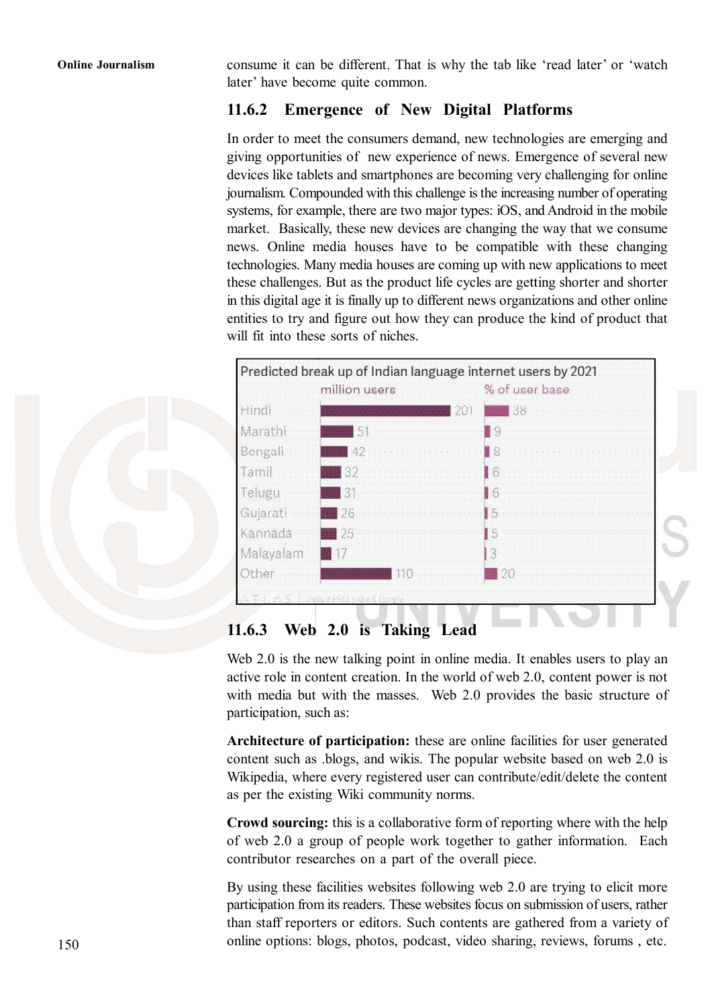Online Journalism consume it can be different. That is why the tab like 'read later' or 'watch later' have become quite common.

#### 11.6.2 Emergence of New Digital Platforms

In order to meet the consumers demand, new technologies are emerging and giving opportunities of new experience of news. Emergence of several new devices like tablets and smartphones are becoming very challenging for online journalism. Compounded with this challenge is the increasing number of operating systems, for example, there are two major types: iOS, and Android in the mobile market. Basically, these new devices are changing the way that we consume news. Online media houses have to be compatible with these changing technologies. Many media houses are coming up with new applications to meet these challenges. But as the product life cycles are getting shorter and shorter in this digital age it is finally up to different news organizations and other online entities to try and figure out how they can produce the kind of product that will fit into these sorts of niches



#### 11.6.3 Web 2.0 is Taking Lead

Web 2.0 is the new talking point in online media. It enables users to play an active role in content creation. In the world of web 2.0, content power is not with media but with the masses. Web 2.0 provides the basic structure of participation, such as:

Architecture of participation: these are online facilities for user generated content such as .blogs, and wikis. The popular website based on web 2.0 is Wikipedia, where every registered user can contribute/edit/delete the content as per the existing Wiki community norms.

Crowd sourcing: this is a collaborative form of reporting where with the help of web 2.0 a group of people work together to gather information. Each contributor researches on a part of the overall piece.

By using these facilities websites following web 2.0 are trying to elicit more participation from its readers. These websites focus on submission of users, rather than staff reporters or editors. Such contents are gathered from a variety of online options: blogs, photos, podcast, video sharing, reviews, forums , etc.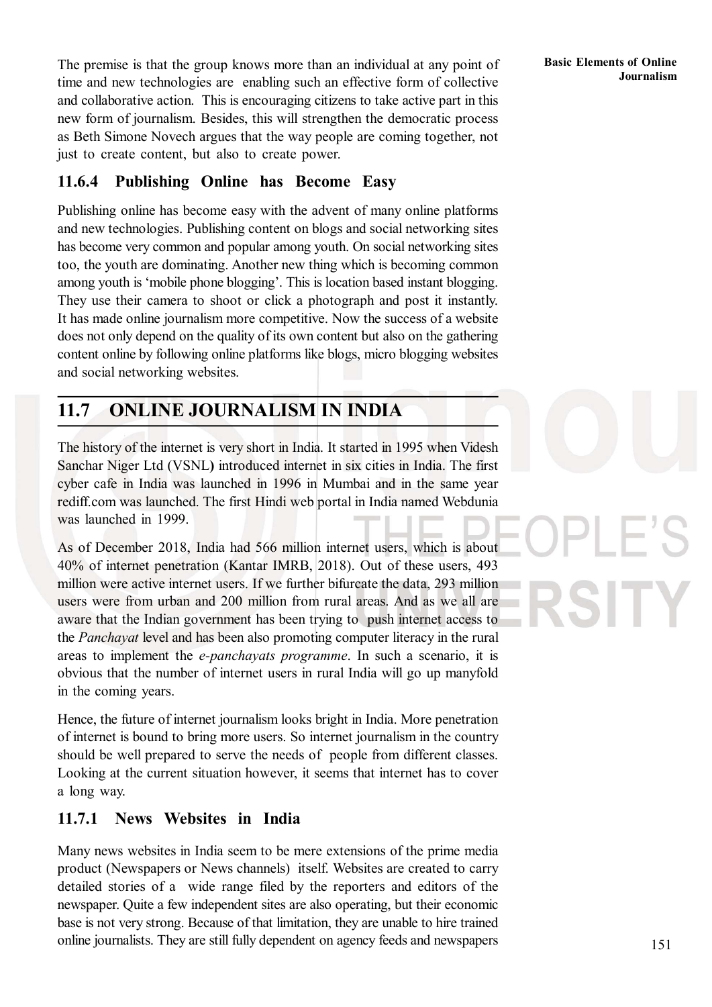The premise is that the group knows more than an individual at any point of time and new technologies are enabling such an effective form of collective and collaborative action. This is encouraging citizens to take active part in this new form of journalism. Besides, this will strengthen the democratic process as Beth Simone Novech argues that the way people are coming together, not just to create content, but also to create power.

#### 11.6.4 Publishing Online has Become Easy

Publishing online has become easy with the advent of many online platforms and new technologies. Publishing content on blogs and social networking sites has become very common and popular among youth. On social networking sites too, the youth are dominating. Another new thing which is becoming common among youth is 'mobile phone blogging'. This is location based instant blogging. They use their camera to shoot or click a photograph and post it instantly. It has made online journalism more competitive. Now the success of a website does not only depend on the quality of its own content but also on the gathering content online by following online platforms like blogs, micro blogging websites and social networking websites.

#### 11.7 ONLINE JOURNALISM IN INDIA

The history of the internet is very short in India. It started in 1995 when Videsh Sanchar Niger Ltd (VSNL) introduced internet in six cities in India. The first cyber cafe in India was launched in 1996 in Mumbai and in the same year rediff.com was launched. The first Hindi web portal in India named Webdunia was launched in 1999.

As of December 2018, India had 566 million internet users, which is about 40% of internet penetration (Kantar IMRB, 2018). Out of these users, 493 million were active internet users. If we further bifurcate the data, 293 million users were from urban and 200 million from rural areas. And as we all are aware that the Indian government has been trying to push internet access to the Panchayat level and has been also promoting computer literacy in the rural areas to implement the e-panchayats programme. In such a scenario, it is obvious that the number of internet users in rural India will go up manyfold in the coming years.

Hence, the future of internet journalism looks bright in India. More penetration of internet is bound to bring more users. So internet journalism in the country should be well prepared to serve the needs of people from different classes. Looking at the current situation however, it seems that internet has to cover a long way.

#### 11.7.1 News Websites in India

Many news websites in India seem to be mere extensions of the prime media product (Newspapers or News channels) itself. Websites are created to carry detailed stories of a wide range filed by the reporters and editors of the newspaper. Quite a few independent sites are also operating, but their economic base is not very strong. Because of that limitation, they are unable to hire trained online journalists. They are still fully dependent on agency feeds and newspapers

Basic Elements of Online Journalism

151

 $\vdash$   $\vdash$   $\vdash$ 

RSITY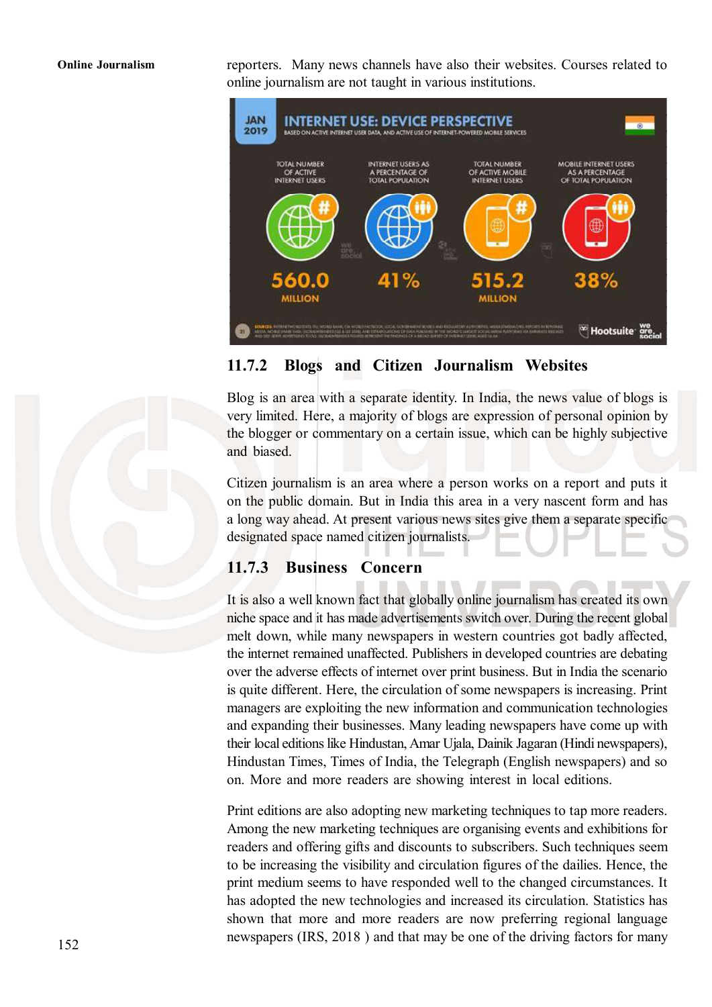Online Journalism reporters. Many news channels have also their websites. Courses related to online journalism are not taught in various institutions.



#### 11.7.2 Blogs and Citizen Journalism Websites

Blog is an area with a separate identity. In India, the news value of blogs is very limited. Here, a majority of blogs are expression of personal opinion by the blogger or commentary on a certain issue, which can be highly subjective and biased.

Citizen journalism is an area where a person works on a report and puts it on the public domain. But in India this area in a very nascent form and has a long way ahead. At present various news sites give them a separate specific designated space named citizen journalists.

#### 11.7.3 Business Concern

It is also a well known fact that globally online journalism has created its own niche space and it has made advertisements switch over. During the recent global melt down, while many newspapers in western countries got badly affected, the internet remained unaffected. Publishers in developed countries are debating over the adverse effects of internet over print business. But in India the scenario is quite different. Here, the circulation of some newspapers is increasing. Print managers are exploiting the new information and communication technologies and expanding their businesses. Many leading newspapers have come up with their local editions like Hindustan, Amar Ujala, Dainik Jagaran (Hindi newspapers), Hindustan Times, Times of India, the Telegraph (English newspapers) and so on. More and more readers are showing interest in local editions.

Print editions are also adopting new marketing techniques to tap more readers. Among the new marketing techniques are organising events and exhibitions for readers and offering gifts and discounts to subscribers. Such techniques seem to be increasing the visibility and circulation figures of the dailies. Hence, the print medium seems to have responded well to the changed circumstances. It has adopted the new technologies and increased its circulation. Statistics has shown that more and more readers are now preferring regional language newspapers (IRS, 2018 ) and that may be one of the driving factors for many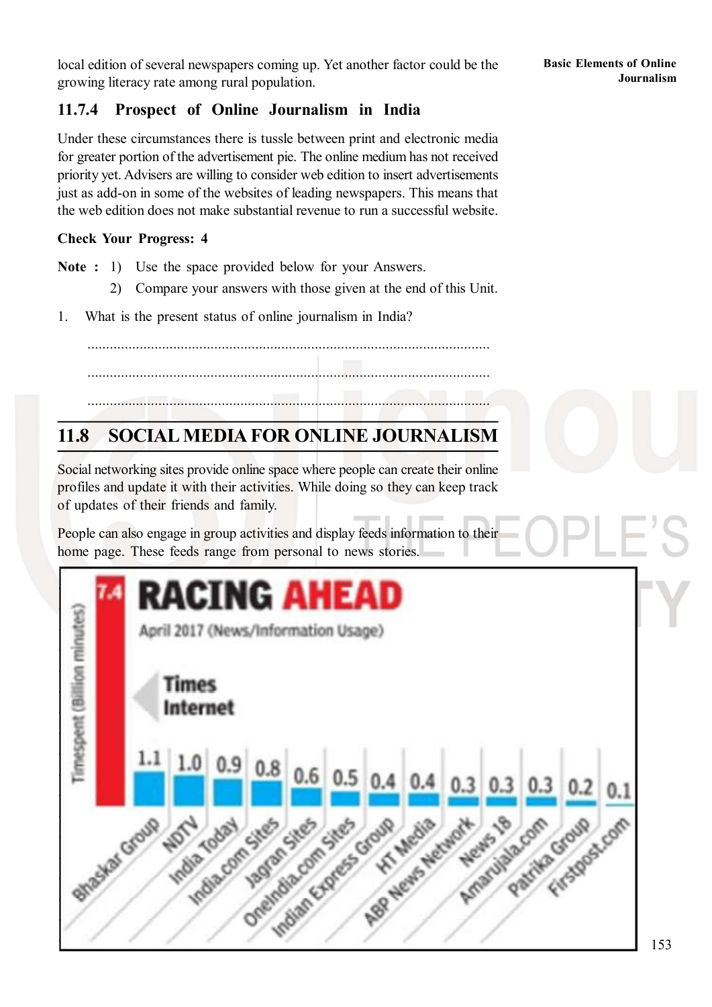#### 11.7.4 Prospect of Online Journalism in India

Under these circumstances there is tussle between print and electronic media for greater portion of the advertisement pie. The online medium has not received priority yet. Advisers are willing to consider web edition to insert advertisements just as add-on in some of the websites of leading newspapers. This means that the web edition does not make substantial revenue to run a successful website.

#### Check Your Progress: 4

Note : 1) Use the space provided below for your Answers.

- 2) Compare your answers with those given at the end of this Unit.
- 1. What is the present status of online journalism in India?

............................................................................................................

............................................................................................................

............................................................................................................

#### 11.8 SOCIALMEDIA FOR ONLINE JOURNALISM

Social networking sites provide online space where people can create their online profiles and update it with their activities. While doing so they can keep track of updates of their friends and family.

People can also engage in group activities and display feeds information to their home page. These feeds range from personal to news stories.

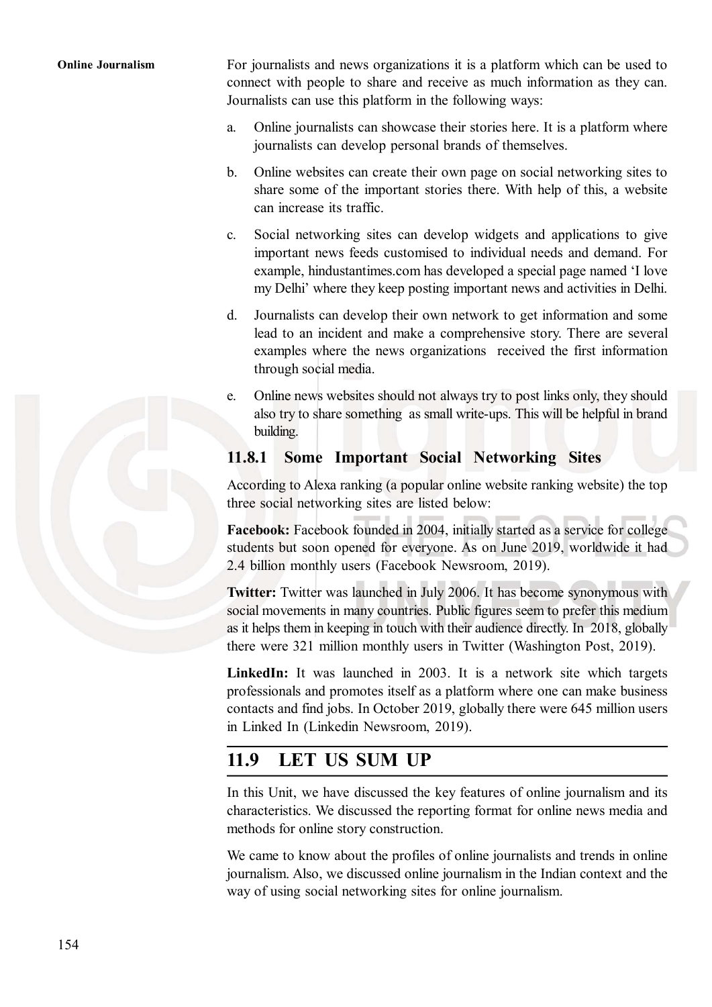Online Journalism For journalists and news organizations it is a platform which can be used to connect with people to share and receive as much information as they can. Journalists can use this platform in the following ways:

- a. Online journalists can showcase their stories here. It is a platform where journalists can develop personal brands of themselves.
- b. Online websites can create their own page on social networking sites to share some of the important stories there. With help of this, a website can increase its traffic.
- c. Social networking sites can develop widgets and applications to give important news feeds customised to individual needs and demand. For example, hindustantimes.com has developed a special page named 'I love my Delhi' where they keep posting important news and activities in Delhi.
- d. Journalists can develop their own network to get information and some lead to an incident and make a comprehensive story. There are several examples where the news organizations received the first information through social media.
- e. Online news websites should not always try to post links only, they should also try to share something as small write-ups. This will be helpful in brand building.

#### 11.8.1 Some Important Social Networking Sites

According to Alexa ranking (a popular online website ranking website) the top three social networking sites are listed below:

Facebook: Facebook founded in 2004, initially started as a service for college students but soon opened for everyone. As on June 2019, worldwide it had 2.4 billion monthly users (Facebook Newsroom, 2019).

Twitter: Twitter was launched in July 2006. It has become synonymous with social movements in many countries. Public figures seem to prefer this medium as it helps them in keeping in touch with their audience directly. In 2018, globally there were 321 million monthly users in Twitter (Washington Post, 2019).

LinkedIn: It was launched in 2003. It is a network site which targets professionals and promotes itself as a platform where one can make business contacts and find jobs. In October 2019, globally there were 645 million users in Linked In (Linkedin Newsroom, 2019).

#### 11.9 LET US SUM UP

In this Unit, we have discussed the key features of online journalism and its characteristics. We discussed the reporting format for online news media and methods for online story construction.

We came to know about the profiles of online journalists and trends in online journalism. Also, we discussed online journalism in the Indian context and the way of using social networking sites for online journalism.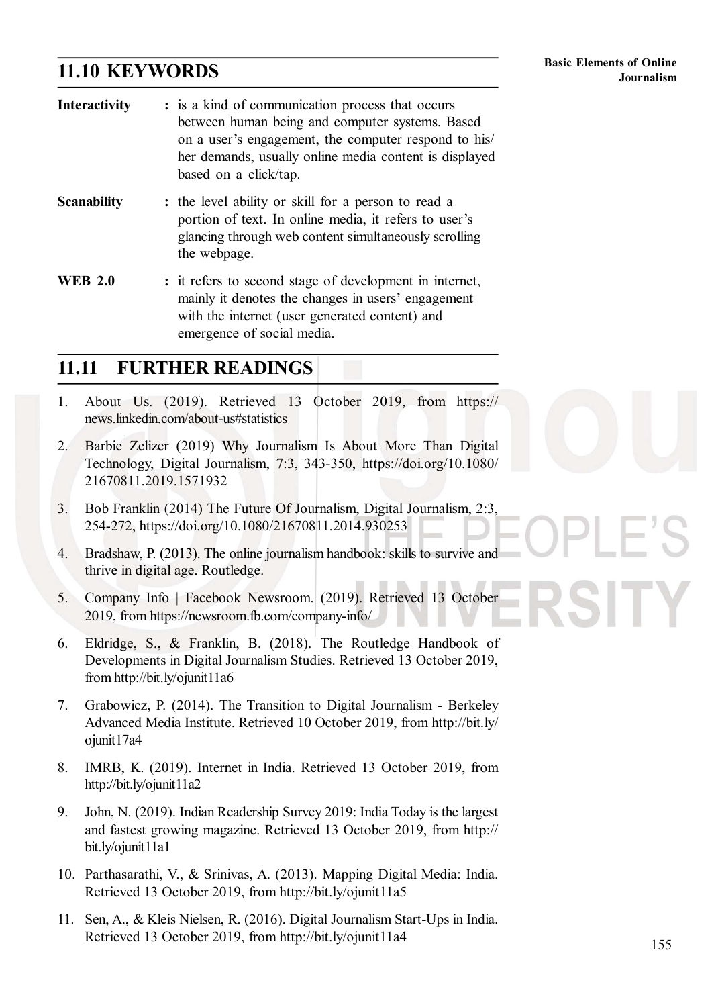#### 11.10 KEYWORDS

| <b>Interactivity</b> | : is a kind of communication process that occurs<br>between human being and computer systems. Based<br>on a user's engagement, the computer respond to his/<br>her demands, usually online media content is displayed<br>based on a click/tap. |  |
|----------------------|------------------------------------------------------------------------------------------------------------------------------------------------------------------------------------------------------------------------------------------------|--|
| <b>Scanability</b>   | : the level ability or skill for a person to read a<br>portion of text. In online media, it refers to user's<br>glancing through web content simultaneously scrolling<br>the webpage.                                                          |  |
| <b>WEB 2.0</b>       | : it refers to second stage of development in internet,<br>mainly it denotes the changes in users' engagement<br>with the internet (user generated content) and<br>emergence of social media.                                                  |  |

#### 11.11 FURTHER READINGS

- 1. About Us. (2019). Retrieved 13 October 2019, from https:// news.linkedin.com/about-us#statistics
- 2. Barbie Zelizer (2019) Why Journalism Is About More Than Digital Technology, Digital Journalism, 7:3, 343-350, https://doi.org/10.1080/ 21670811.2019.1571932
- 3. Bob Franklin (2014) The Future Of Journalism, Digital Journalism, 2:3, 254-272, https://doi.org/10.1080/21670811.2014.930253
- 4. Bradshaw, P. (2013). The online journalism handbook: skills to survive and thrive in digital age. Routledge.
- 5. Company Info | Facebook Newsroom. (2019). Retrieved 13 October 2019, from https://newsroom.fb.com/company-info/
- 6. Eldridge, S., & Franklin, B. (2018). The Routledge Handbook of Developments in Digital Journalism Studies. Retrieved 13 October 2019, from http://bit.ly/ojunit11a6
- 7. Grabowicz, P. (2014). The Transition to Digital Journalism Berkeley Advanced Media Institute. Retrieved 10 October 2019, from http://bit.ly/ ojunit17a4
- 8. IMRB, K. (2019). Internet in India. Retrieved 13 October 2019, from http://bit.ly/ojunit11a2
- 9. John, N. (2019). Indian Readership Survey 2019: India Today is the largest and fastest growing magazine. Retrieved 13 October 2019, from http:// bit.ly/ojunit11a1
- 10. Parthasarathi, V., & Srinivas, A. (2013). Mapping Digital Media: India. Retrieved 13 October 2019, from http://bit.ly/ojunit11a5
- 11. Sen, A., & Kleis Nielsen, R. (2016). Digital Journalism Start-Ups in India. Retrieved 13 October 2019, from http://bit.ly/ojunit11a4